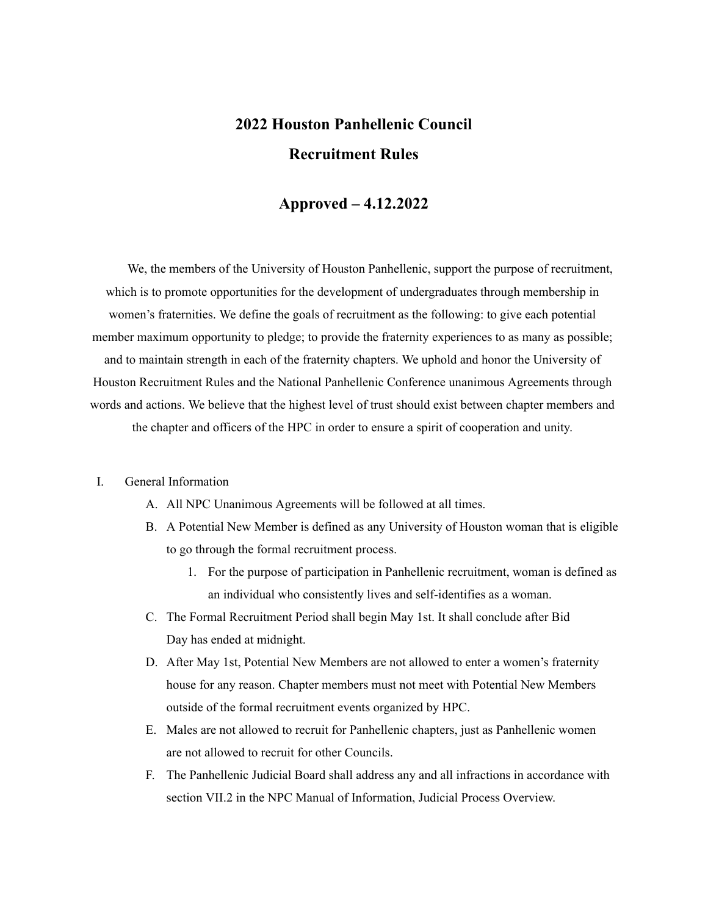# **2022 Houston Panhellenic Council Recruitment Rules**

# **Approved – 4.12.2022**

We, the members of the University of Houston Panhellenic, support the purpose of recruitment, which is to promote opportunities for the development of undergraduates through membership in women's fraternities. We define the goals of recruitment as the following: to give each potential member maximum opportunity to pledge; to provide the fraternity experiences to as many as possible; and to maintain strength in each of the fraternity chapters. We uphold and honor the University of Houston Recruitment Rules and the National Panhellenic Conference unanimous Agreements through words and actions. We believe that the highest level of trust should exist between chapter members and the chapter and officers of the HPC in order to ensure a spirit of cooperation and unity.

#### I. General Information

- A. All NPC Unanimous Agreements will be followed at all times.
- B. A Potential New Member is defined as any University of Houston woman that is eligible to go through the formal recruitment process.
	- 1. For the purpose of participation in Panhellenic recruitment, woman is defined as an individual who consistently lives and self-identifies as a woman.
- C. The Formal Recruitment Period shall begin May 1st. It shall conclude after Bid Day has ended at midnight.
- D. After May 1st, Potential New Members are not allowed to enter a women's fraternity house for any reason. Chapter members must not meet with Potential New Members outside of the formal recruitment events organized by HPC.
- E. Males are not allowed to recruit for Panhellenic chapters, just as Panhellenic women are not allowed to recruit for other Councils.
- F. The Panhellenic Judicial Board shall address any and all infractions in accordance with section VII.2 in the NPC Manual of Information, Judicial Process Overview.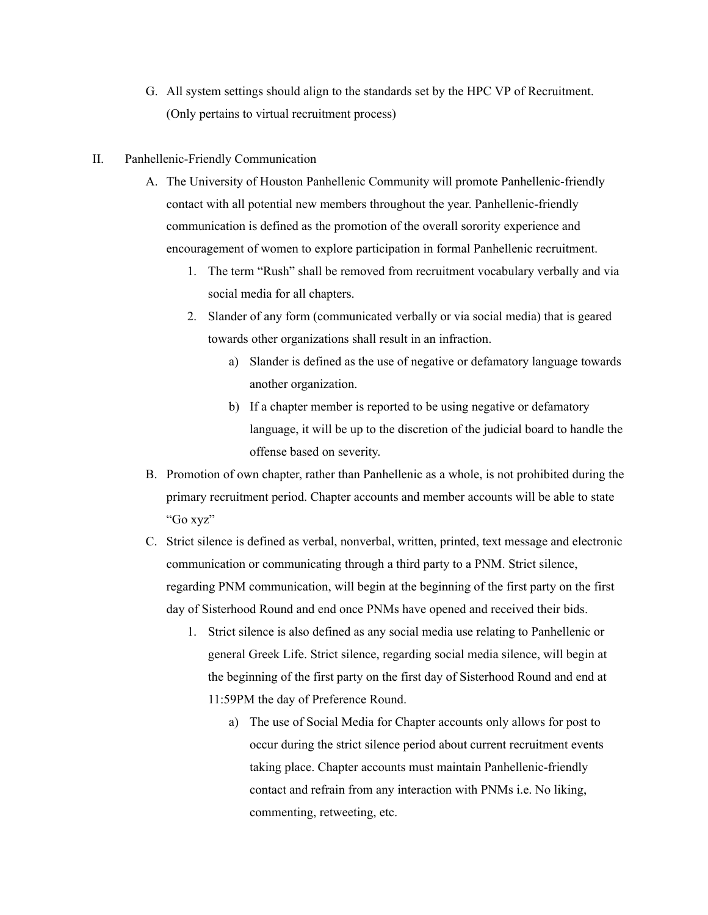G. All system settings should align to the standards set by the HPC VP of Recruitment. (Only pertains to virtual recruitment process)

# II. Panhellenic-Friendly Communication

- A. The University of Houston Panhellenic Community will promote Panhellenic-friendly contact with all potential new members throughout the year. Panhellenic-friendly communication is defined as the promotion of the overall sorority experience and encouragement of women to explore participation in formal Panhellenic recruitment.
	- 1. The term "Rush" shall be removed from recruitment vocabulary verbally and via social media for all chapters.
	- 2. Slander of any form (communicated verbally or via social media) that is geared towards other organizations shall result in an infraction.
		- a) Slander is defined as the use of negative or defamatory language towards another organization.
		- b) If a chapter member is reported to be using negative or defamatory language, it will be up to the discretion of the judicial board to handle the offense based on severity.
- B. Promotion of own chapter, rather than Panhellenic as a whole, is not prohibited during the primary recruitment period. Chapter accounts and member accounts will be able to state "Go xyz"
- C. Strict silence is defined as verbal, nonverbal, written, printed, text message and electronic communication or communicating through a third party to a PNM. Strict silence, regarding PNM communication, will begin at the beginning of the first party on the first day of Sisterhood Round and end once PNMs have opened and received their bids.
	- 1. Strict silence is also defined as any social media use relating to Panhellenic or general Greek Life. Strict silence, regarding social media silence, will begin at the beginning of the first party on the first day of Sisterhood Round and end at 11:59PM the day of Preference Round.
		- a) The use of Social Media for Chapter accounts only allows for post to occur during the strict silence period about current recruitment events taking place. Chapter accounts must maintain Panhellenic-friendly contact and refrain from any interaction with PNMs i.e. No liking, commenting, retweeting, etc.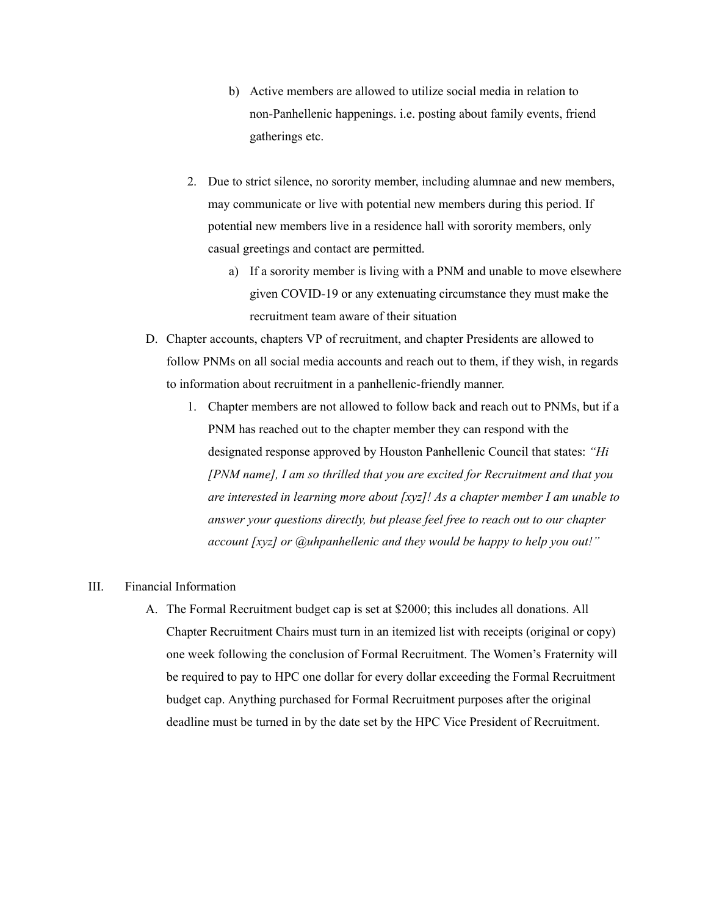- b) Active members are allowed to utilize social media in relation to non-Panhellenic happenings. i.e. posting about family events, friend gatherings etc.
- 2. Due to strict silence, no sorority member, including alumnae and new members, may communicate or live with potential new members during this period. If potential new members live in a residence hall with sorority members, only casual greetings and contact are permitted.
	- a) If a sorority member is living with a PNM and unable to move elsewhere given COVID-19 or any extenuating circumstance they must make the recruitment team aware of their situation
- D. Chapter accounts, chapters VP of recruitment, and chapter Presidents are allowed to follow PNMs on all social media accounts and reach out to them, if they wish, in regards to information about recruitment in a panhellenic-friendly manner.
	- 1. Chapter members are not allowed to follow back and reach out to PNMs, but if a PNM has reached out to the chapter member they can respond with the designated response approved by Houston Panhellenic Council that states: *"Hi [PNM name], I am so thrilled that you are excited for Recruitment and that you are interested in learning more about [xyz]! As a chapter member I am unable to answer your questions directly, but please feel free to reach out to our chapter account [xyz] or @uhpanhellenic and they would be happy to help you out!"*

#### III. Financial Information

A. The Formal Recruitment budget cap is set at \$2000; this includes all donations. All Chapter Recruitment Chairs must turn in an itemized list with receipts (original or copy) one week following the conclusion of Formal Recruitment. The Women's Fraternity will be required to pay to HPC one dollar for every dollar exceeding the Formal Recruitment budget cap. Anything purchased for Formal Recruitment purposes after the original deadline must be turned in by the date set by the HPC Vice President of Recruitment.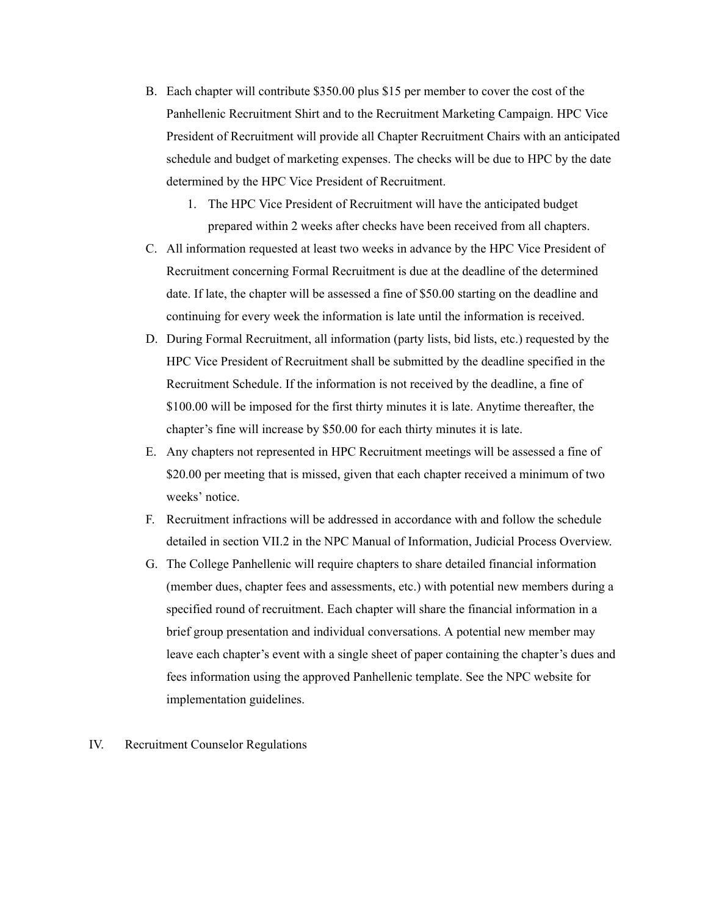- B. Each chapter will contribute \$350.00 plus \$15 per member to cover the cost of the Panhellenic Recruitment Shirt and to the Recruitment Marketing Campaign. HPC Vice President of Recruitment will provide all Chapter Recruitment Chairs with an anticipated schedule and budget of marketing expenses. The checks will be due to HPC by the date determined by the HPC Vice President of Recruitment.
	- 1. The HPC Vice President of Recruitment will have the anticipated budget prepared within 2 weeks after checks have been received from all chapters.
- C. All information requested at least two weeks in advance by the HPC Vice President of Recruitment concerning Formal Recruitment is due at the deadline of the determined date. If late, the chapter will be assessed a fine of \$50.00 starting on the deadline and continuing for every week the information is late until the information is received.
- D. During Formal Recruitment, all information (party lists, bid lists, etc.) requested by the HPC Vice President of Recruitment shall be submitted by the deadline specified in the Recruitment Schedule. If the information is not received by the deadline, a fine of \$100.00 will be imposed for the first thirty minutes it is late. Anytime thereafter, the chapter's fine will increase by \$50.00 for each thirty minutes it is late.
- E. Any chapters not represented in HPC Recruitment meetings will be assessed a fine of \$20.00 per meeting that is missed, given that each chapter received a minimum of two weeks' notice.
- F. Recruitment infractions will be addressed in accordance with and follow the schedule detailed in section VII.2 in the NPC Manual of Information, Judicial Process Overview.
- G. The College Panhellenic will require chapters to share detailed financial information (member dues, chapter fees and assessments, etc.) with potential new members during a specified round of recruitment. Each chapter will share the financial information in a brief group presentation and individual conversations. A potential new member may leave each chapter's event with a single sheet of paper containing the chapter's dues and fees information using the approved Panhellenic template. See the NPC website for implementation guidelines.

#### IV. Recruitment Counselor Regulations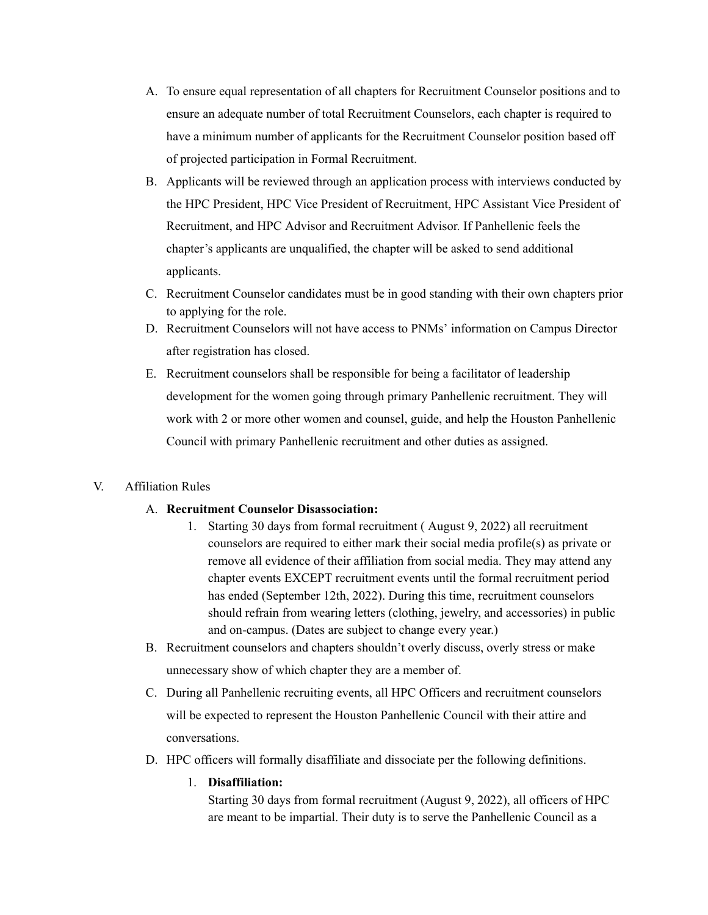- A. To ensure equal representation of all chapters for Recruitment Counselor positions and to ensure an adequate number of total Recruitment Counselors, each chapter is required to have a minimum number of applicants for the Recruitment Counselor position based off of projected participation in Formal Recruitment.
- B. Applicants will be reviewed through an application process with interviews conducted by the HPC President, HPC Vice President of Recruitment, HPC Assistant Vice President of Recruitment, and HPC Advisor and Recruitment Advisor. If Panhellenic feels the chapter's applicants are unqualified, the chapter will be asked to send additional applicants.
- C. Recruitment Counselor candidates must be in good standing with their own chapters prior to applying for the role.
- D. Recruitment Counselors will not have access to PNMs' information on Campus Director after registration has closed.
- E. Recruitment counselors shall be responsible for being a facilitator of leadership development for the women going through primary Panhellenic recruitment. They will work with 2 or more other women and counsel, guide, and help the Houston Panhellenic Council with primary Panhellenic recruitment and other duties as assigned.

# V. Affiliation Rules

# A. **Recruitment Counselor Disassociation:**

- 1. Starting 30 days from formal recruitment ( August 9, 2022) all recruitment counselors are required to either mark their social media profile(s) as private or remove all evidence of their affiliation from social media. They may attend any chapter events EXCEPT recruitment events until the formal recruitment period has ended (September 12th, 2022). During this time, recruitment counselors should refrain from wearing letters (clothing, jewelry, and accessories) in public and on-campus. (Dates are subject to change every year.)
- B. Recruitment counselors and chapters shouldn't overly discuss, overly stress or make unnecessary show of which chapter they are a member of.
- C. During all Panhellenic recruiting events, all HPC Officers and recruitment counselors will be expected to represent the Houston Panhellenic Council with their attire and conversations.
- D. HPC officers will formally disaffiliate and dissociate per the following definitions.
	- 1. **Disaffiliation:**

Starting 30 days from formal recruitment (August 9, 2022), all officers of HPC are meant to be impartial. Their duty is to serve the Panhellenic Council as a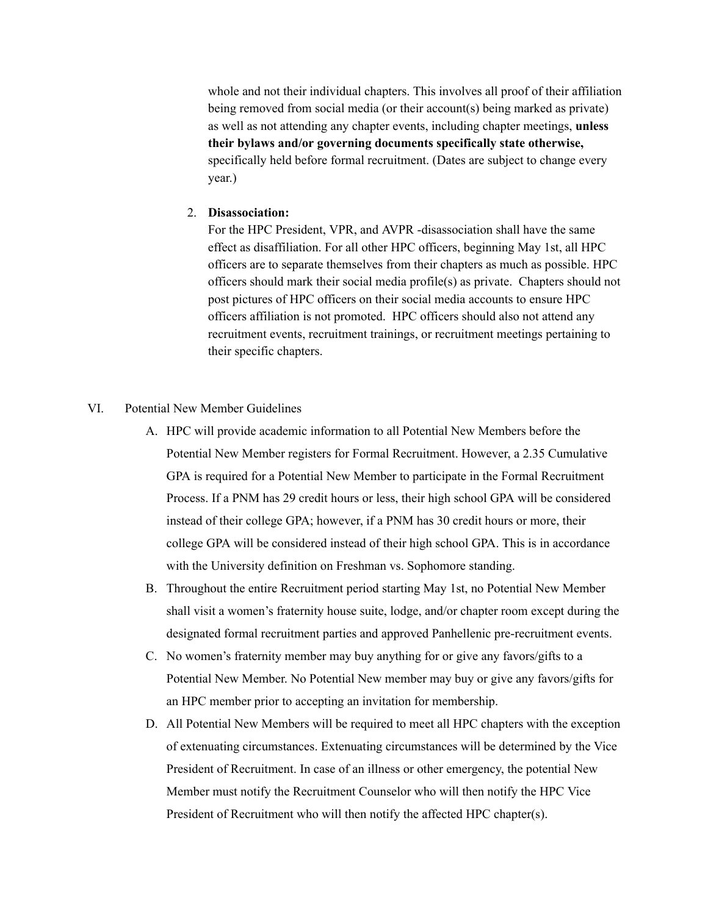whole and not their individual chapters. This involves all proof of their affiliation being removed from social media (or their account(s) being marked as private) as well as not attending any chapter events, including chapter meetings, **unless their bylaws and/or governing documents specifically state otherwise,** specifically held before formal recruitment. (Dates are subject to change every year.)

#### 2. **Disassociation:**

For the HPC President, VPR, and AVPR -disassociation shall have the same effect as disaffiliation. For all other HPC officers, beginning May 1st, all HPC officers are to separate themselves from their chapters as much as possible. HPC officers should mark their social media profile(s) as private. Chapters should not post pictures of HPC officers on their social media accounts to ensure HPC officers affiliation is not promoted. HPC officers should also not attend any recruitment events, recruitment trainings, or recruitment meetings pertaining to their specific chapters.

#### VI. Potential New Member Guidelines

- A. HPC will provide academic information to all Potential New Members before the Potential New Member registers for Formal Recruitment. However, a 2.35 Cumulative GPA is required for a Potential New Member to participate in the Formal Recruitment Process. If a PNM has 29 credit hours or less, their high school GPA will be considered instead of their college GPA; however, if a PNM has 30 credit hours or more, their college GPA will be considered instead of their high school GPA. This is in accordance with the University definition on Freshman vs. Sophomore standing.
- B. Throughout the entire Recruitment period starting May 1st, no Potential New Member shall visit a women's fraternity house suite, lodge, and/or chapter room except during the designated formal recruitment parties and approved Panhellenic pre-recruitment events.
- C. No women's fraternity member may buy anything for or give any favors/gifts to a Potential New Member. No Potential New member may buy or give any favors/gifts for an HPC member prior to accepting an invitation for membership.
- D. All Potential New Members will be required to meet all HPC chapters with the exception of extenuating circumstances. Extenuating circumstances will be determined by the Vice President of Recruitment. In case of an illness or other emergency, the potential New Member must notify the Recruitment Counselor who will then notify the HPC Vice President of Recruitment who will then notify the affected HPC chapter(s).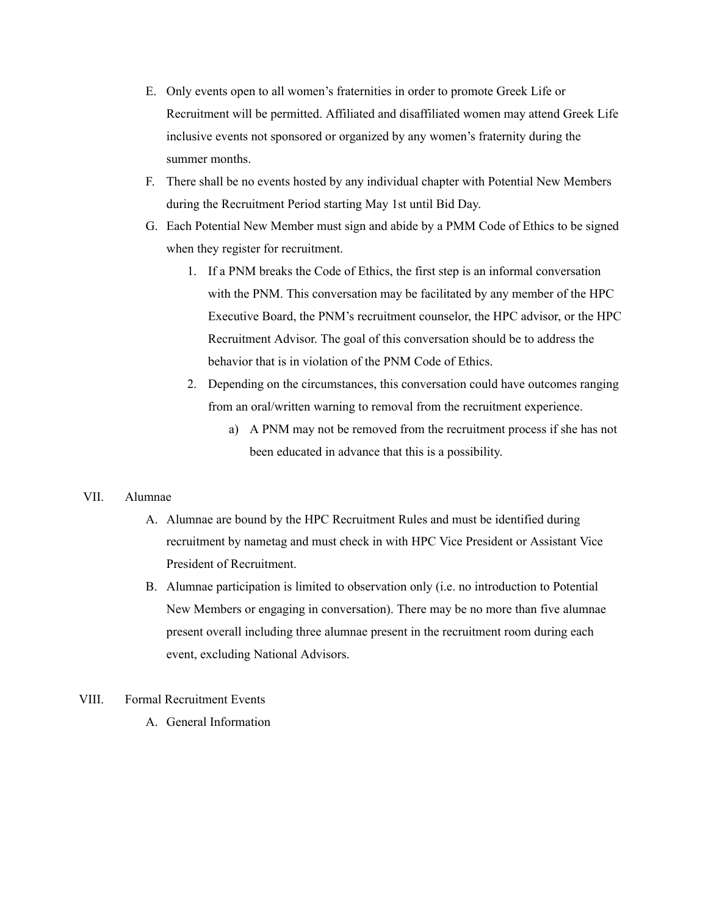- E. Only events open to all women's fraternities in order to promote Greek Life or Recruitment will be permitted. Affiliated and disaffiliated women may attend Greek Life inclusive events not sponsored or organized by any women's fraternity during the summer months.
- F. There shall be no events hosted by any individual chapter with Potential New Members during the Recruitment Period starting May 1st until Bid Day.
- G. Each Potential New Member must sign and abide by a PMM Code of Ethics to be signed when they register for recruitment.
	- 1. If a PNM breaks the Code of Ethics, the first step is an informal conversation with the PNM. This conversation may be facilitated by any member of the HPC Executive Board, the PNM's recruitment counselor, the HPC advisor, or the HPC Recruitment Advisor. The goal of this conversation should be to address the behavior that is in violation of the PNM Code of Ethics.
	- 2. Depending on the circumstances, this conversation could have outcomes ranging from an oral/written warning to removal from the recruitment experience.
		- a) A PNM may not be removed from the recruitment process if she has not been educated in advance that this is a possibility.

#### VII. Alumnae

- A. Alumnae are bound by the HPC Recruitment Rules and must be identified during recruitment by nametag and must check in with HPC Vice President or Assistant Vice President of Recruitment.
- B. Alumnae participation is limited to observation only (i.e. no introduction to Potential New Members or engaging in conversation). There may be no more than five alumnae present overall including three alumnae present in the recruitment room during each event, excluding National Advisors.

# VIII. Formal Recruitment Events

A. General Information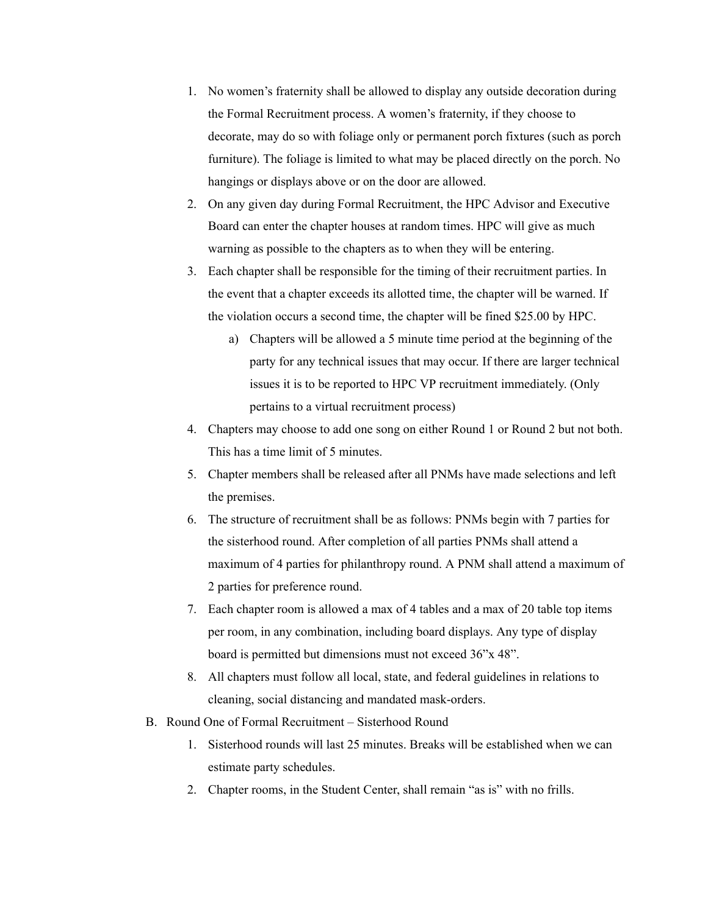- 1. No women's fraternity shall be allowed to display any outside decoration during the Formal Recruitment process. A women's fraternity, if they choose to decorate, may do so with foliage only or permanent porch fixtures (such as porch furniture). The foliage is limited to what may be placed directly on the porch. No hangings or displays above or on the door are allowed.
- 2. On any given day during Formal Recruitment, the HPC Advisor and Executive Board can enter the chapter houses at random times. HPC will give as much warning as possible to the chapters as to when they will be entering.
- 3. Each chapter shall be responsible for the timing of their recruitment parties. In the event that a chapter exceeds its allotted time, the chapter will be warned. If the violation occurs a second time, the chapter will be fined \$25.00 by HPC.
	- a) Chapters will be allowed a 5 minute time period at the beginning of the party for any technical issues that may occur. If there are larger technical issues it is to be reported to HPC VP recruitment immediately. (Only pertains to a virtual recruitment process)
- 4. Chapters may choose to add one song on either Round 1 or Round 2 but not both. This has a time limit of 5 minutes.
- 5. Chapter members shall be released after all PNMs have made selections and left the premises.
- 6. The structure of recruitment shall be as follows: PNMs begin with 7 parties for the sisterhood round. After completion of all parties PNMs shall attend a maximum of 4 parties for philanthropy round. A PNM shall attend a maximum of 2 parties for preference round.
- 7. Each chapter room is allowed a max of 4 tables and a max of 20 table top items per room, in any combination, including board displays. Any type of display board is permitted but dimensions must not exceed 36"x 48".
- 8. All chapters must follow all local, state, and federal guidelines in relations to cleaning, social distancing and mandated mask-orders.
- B. Round One of Formal Recruitment Sisterhood Round
	- 1. Sisterhood rounds will last 25 minutes. Breaks will be established when we can estimate party schedules.
	- 2. Chapter rooms, in the Student Center, shall remain "as is" with no frills.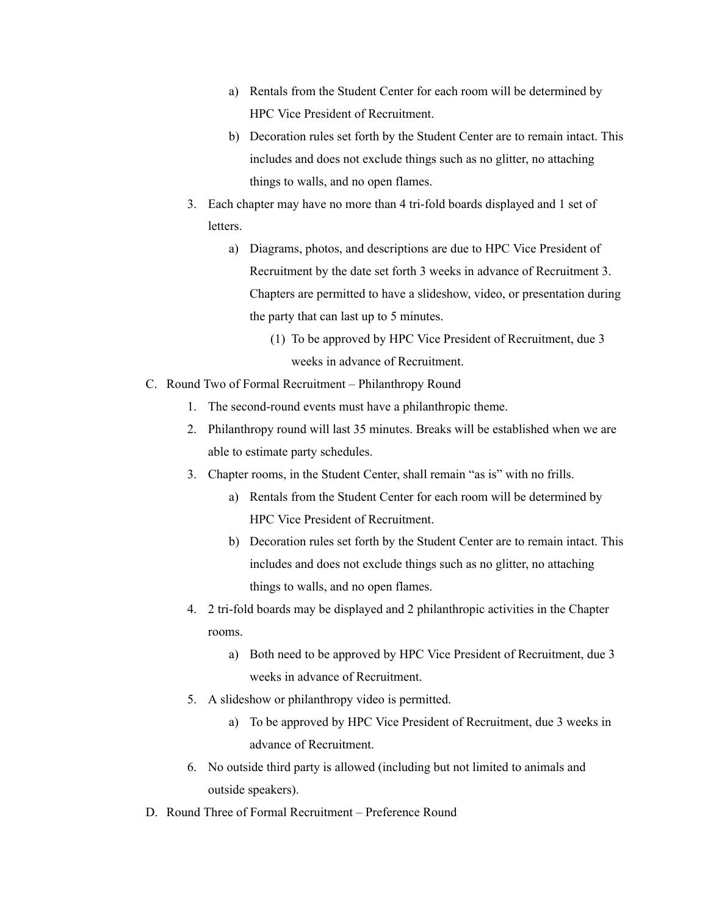- a) Rentals from the Student Center for each room will be determined by HPC Vice President of Recruitment.
- b) Decoration rules set forth by the Student Center are to remain intact. This includes and does not exclude things such as no glitter, no attaching things to walls, and no open flames.
- 3. Each chapter may have no more than 4 tri-fold boards displayed and 1 set of letters.
	- a) Diagrams, photos, and descriptions are due to HPC Vice President of Recruitment by the date set forth 3 weeks in advance of Recruitment 3. Chapters are permitted to have a slideshow, video, or presentation during the party that can last up to 5 minutes.
		- (1) To be approved by HPC Vice President of Recruitment, due 3 weeks in advance of Recruitment.
- C. Round Two of Formal Recruitment Philanthropy Round
	- 1. The second-round events must have a philanthropic theme.
	- 2. Philanthropy round will last 35 minutes. Breaks will be established when we are able to estimate party schedules.
	- 3. Chapter rooms, in the Student Center, shall remain "as is" with no frills.
		- a) Rentals from the Student Center for each room will be determined by HPC Vice President of Recruitment.
		- b) Decoration rules set forth by the Student Center are to remain intact. This includes and does not exclude things such as no glitter, no attaching things to walls, and no open flames.
	- 4. 2 tri-fold boards may be displayed and 2 philanthropic activities in the Chapter rooms.
		- a) Both need to be approved by HPC Vice President of Recruitment, due 3 weeks in advance of Recruitment.
	- 5. A slideshow or philanthropy video is permitted.
		- a) To be approved by HPC Vice President of Recruitment, due 3 weeks in advance of Recruitment.
	- 6. No outside third party is allowed (including but not limited to animals and outside speakers).
- D. Round Three of Formal Recruitment Preference Round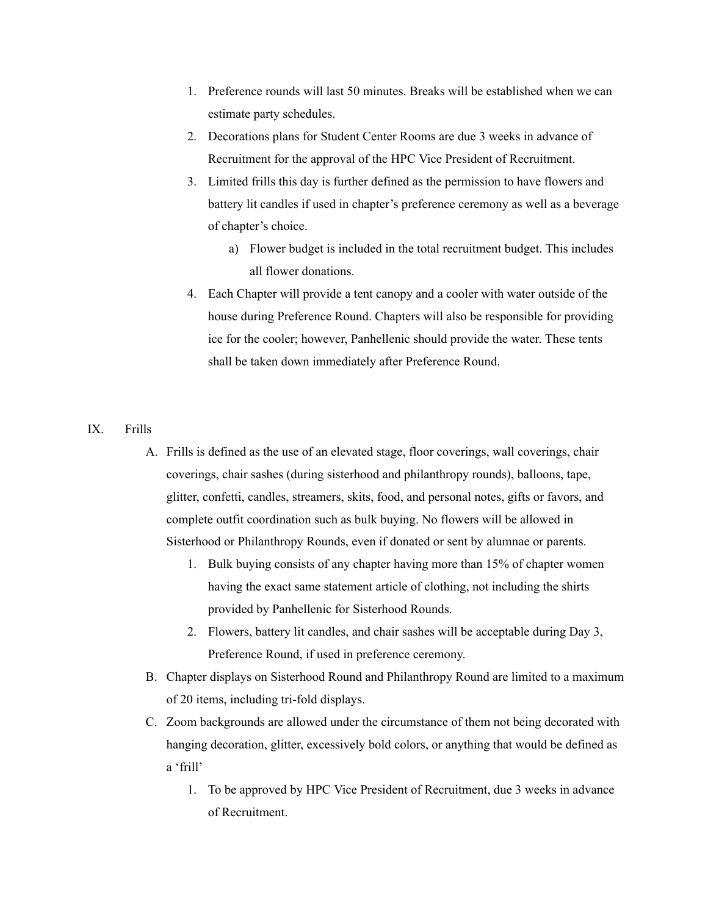- 1. Preference rounds will last 50 minutes. Breaks will be established when we can estimate party schedules.
- 2. Decorations plans for Student Center Rooms are due 3 weeks in advance of Recruitment for the approval of the HPC Vice President of Recruitment.
- 3. Limited frills this day is further defined as the permission to have flowers and battery lit candles if used in chapter's preference ceremony as well as a beverage of chapter's choice.
	- a) Flower budget is included in the total recruitment budget. This includes all flower donations.
- 4. Each Chapter will provide a tent canopy and a cooler with water outside of the house during Preference Round. Chapters will also be responsible for providing ice for the cooler; however, Panhellenic should provide the water. These tents shall be taken down immediately after Preference Round.

# IX. Frills

- A. Frills is defined as the use of an elevated stage, floor coverings, wall coverings, chair coverings, chair sashes (during sisterhood and philanthropy rounds), balloons, tape, glitter, confetti, candles, streamers, skits, food, and personal notes, gifts or favors, and complete outfit coordination such as bulk buying. No flowers will be allowed in Sisterhood or Philanthropy Rounds, even if donated or sent by alumnae or parents.
	- 1. Bulk buying consists of any chapter having more than 15% of chapter women having the exact same statement article of clothing, not including the shirts provided by Panhellenic for Sisterhood Rounds.
	- 2. Flowers, battery lit candles, and chair sashes will be acceptable during Day 3, Preference Round, if used in preference ceremony.
- B. Chapter displays on Sisterhood Round and Philanthropy Round are limited to a maximum of 20 items, including tri-fold displays.
- C. Zoom backgrounds are allowed under the circumstance of them not being decorated with hanging decoration, glitter, excessively bold colors, or anything that would be defined as a 'frill'
	- 1. To be approved by HPC Vice President of Recruitment, due 3 weeks in advance of Recruitment.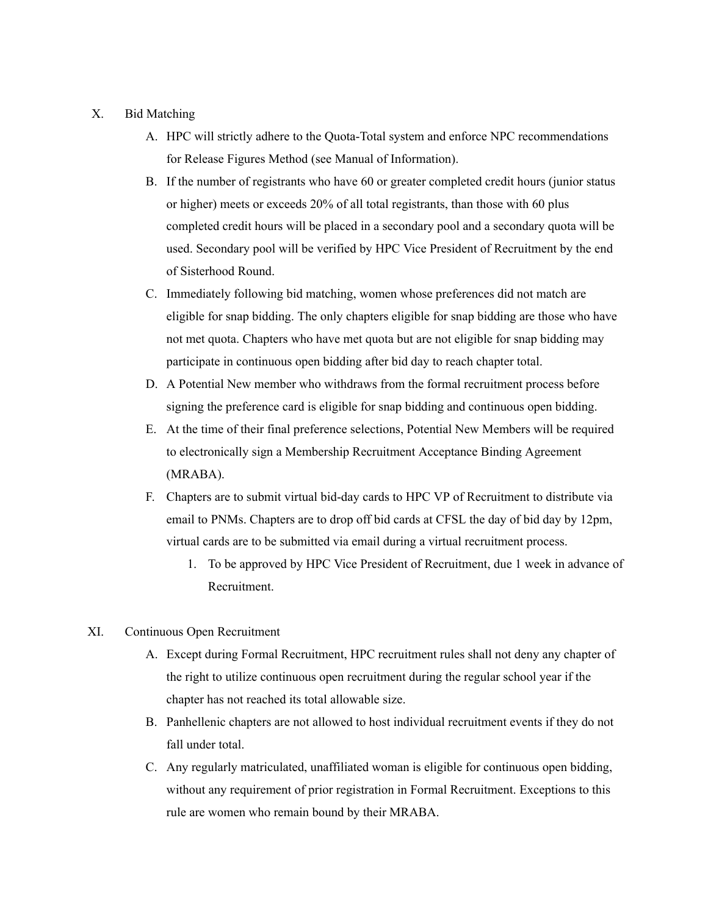# X. Bid Matching

- A. HPC will strictly adhere to the Quota-Total system and enforce NPC recommendations for Release Figures Method (see Manual of Information).
- B. If the number of registrants who have 60 or greater completed credit hours (junior status or higher) meets or exceeds 20% of all total registrants, than those with 60 plus completed credit hours will be placed in a secondary pool and a secondary quota will be used. Secondary pool will be verified by HPC Vice President of Recruitment by the end of Sisterhood Round.
- C. Immediately following bid matching, women whose preferences did not match are eligible for snap bidding. The only chapters eligible for snap bidding are those who have not met quota. Chapters who have met quota but are not eligible for snap bidding may participate in continuous open bidding after bid day to reach chapter total.
- D. A Potential New member who withdraws from the formal recruitment process before signing the preference card is eligible for snap bidding and continuous open bidding.
- E. At the time of their final preference selections, Potential New Members will be required to electronically sign a Membership Recruitment Acceptance Binding Agreement (MRABA).
- F. Chapters are to submit virtual bid-day cards to HPC VP of Recruitment to distribute via email to PNMs. Chapters are to drop off bid cards at CFSL the day of bid day by 12pm, virtual cards are to be submitted via email during a virtual recruitment process.
	- 1. To be approved by HPC Vice President of Recruitment, due 1 week in advance of Recruitment.
- XI. Continuous Open Recruitment
	- A. Except during Formal Recruitment, HPC recruitment rules shall not deny any chapter of the right to utilize continuous open recruitment during the regular school year if the chapter has not reached its total allowable size.
	- B. Panhellenic chapters are not allowed to host individual recruitment events if they do not fall under total.
	- C. Any regularly matriculated, unaffiliated woman is eligible for continuous open bidding, without any requirement of prior registration in Formal Recruitment. Exceptions to this rule are women who remain bound by their MRABA.